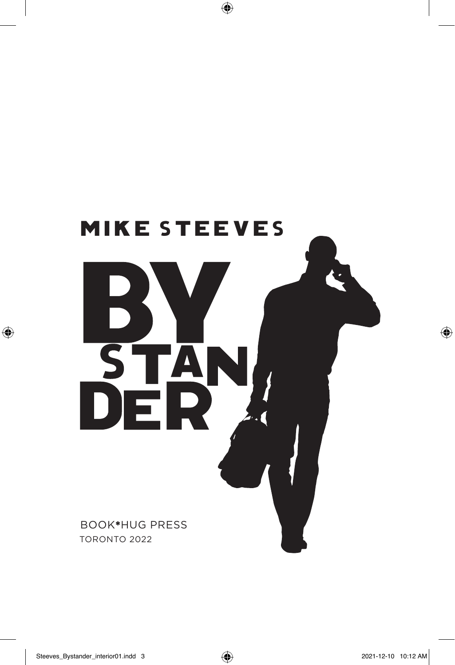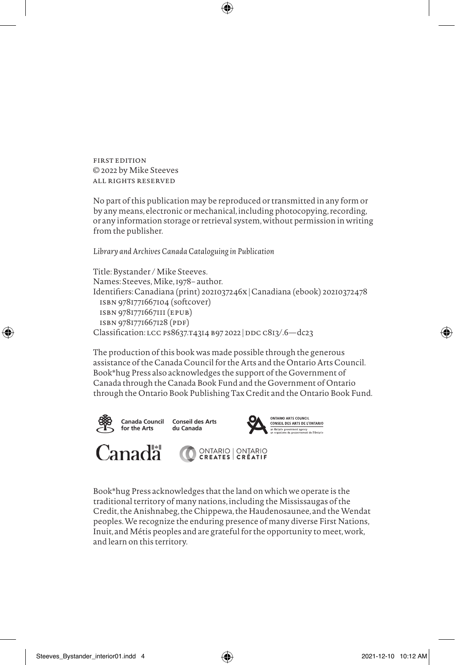FIRST EDITION © 2022 by Mike Steeves ALL RIGHTS RESERVED

No part of this publication may be reproduced or transmitted in any form or by any means, electronic or mechanical, including photocopying, recording, or any information storage or retrieval system, without permission in writing from the publisher.

⊕

*Library and Archives Canada Cataloguing in Publication*

Title: Bystander / Mike Steeves. Names: Steeves, Mike, 1978– author. Identifiers: Canadiana (print) 2021037246X | Canadiana (ebook) 20210372478 ISBN 9781771667104 (softcover) ISBN 9781771667111 (EPUB) ISBN 9781771667128 (PDF) Classification: LCC PS8637.T4314 B97 2022 | DDC C813/.6-dc23

The production of this book was made possible through the generous assistance of the Canada Council for the Arts and the Ontario Arts Council. Book\*hug Press also acknowledges the support of the Government of Canada through the Canada Book Fund and the Government of Ontario through the Ontario Book Publishing Tax Credit and the Ontario Book Fund.



⊕

Canada Council **Conseil des Arts** for the Arts du Canada



**Canada** 

ONTARIO | ONTARIO<br>CREATES | CRÉATIF

Book\*hug Press acknowledges that the land on which we operate is the traditional territory of many nations, including the Mississaugas of the Credit, the Anishnabeg, the Chippewa, the Haudenosaunee, and the Wendat peoples. We recognize the enduring presence of many diverse First Nations, Inuit, and Métis peoples and are grateful for the opportunity to meet, work, and learn on this territory.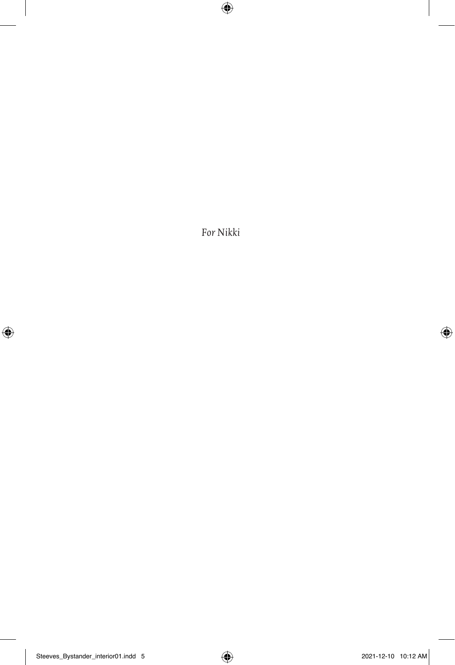*For Nikki*

 $\bigoplus$ 

 $\overline{\phantom{a}}$ 

 $\overline{\phantom{a}}$ 

 $\bigoplus$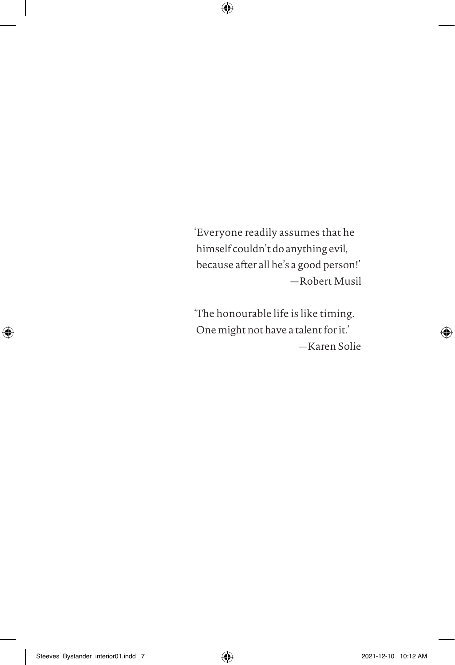'Everyone readily assumes that he himself couldn't do anything evil, because after all he's a good person!' — Robert Musil

 $\bigoplus$ 

'The honourable life is like timing. One might not have a talent for it.' — Karen Solie

⊕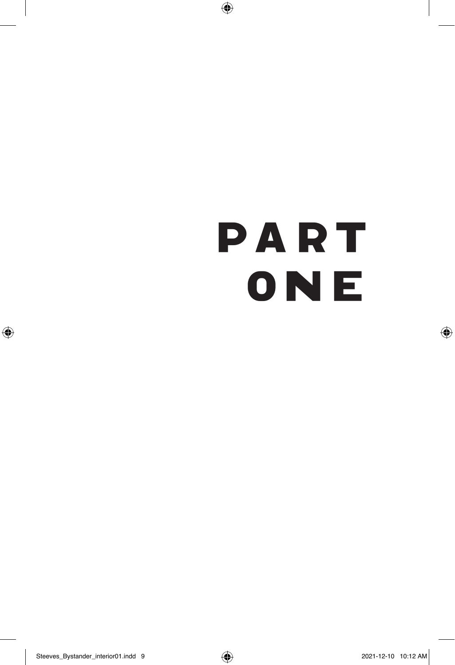## Part ONE

 $\bigoplus$ 

 $\bigoplus$ 

 $\bigoplus$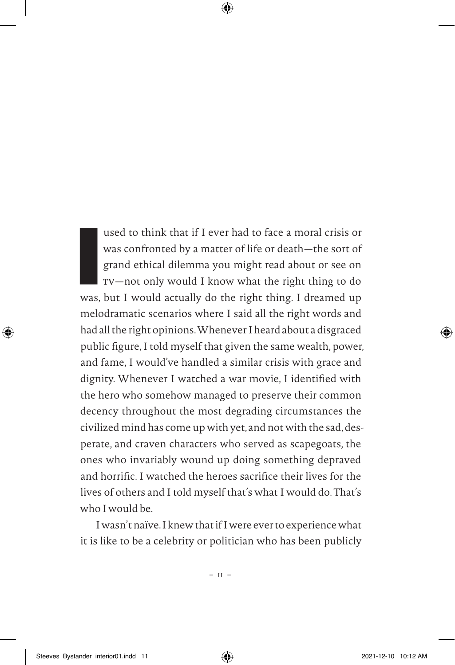used to think that if I ever had to face a moral crisis or<br>was confronted by a matter of life or death—the sort of<br>grand ethical dilemma you might read about or see on<br>TV—not only would I know what the right thing to do<br>wa was confronted by a matter of life or death— the sort of grand ethical dilemma you might read about or see on TV— not only would I know what the right thing to do was, but I would actually do the right thing. I dreamed up melodramatic scenarios where I said all the right words and had all the right opinions. Whenever I heard about a disgraced public fgure, I told myself that given the same wealth, power, and fame, I would've handled a similar crisis with grace and dignity. Whenever I watched a war movie, I identifed with the hero who somehow managed to preserve their common decency throughout the most degrading circumstances the civilized mind has come up with yet, and not with the sad, desperate, and craven characters who served as scapegoats, the ones who invariably wound up doing something depraved and horrifc. I watched the heroes sacrifce their lives for the lives of others and I told myself that's what I would do. That's who I would be.

⊕

I wasn't naïve. I knew that if I were ever to experience what it is like to be a celebrity or politician who has been publicly

 $-$  11  $-$ 

Steeves\_Bystander\_interior01.indd 11 2021-12-10 10:12 AM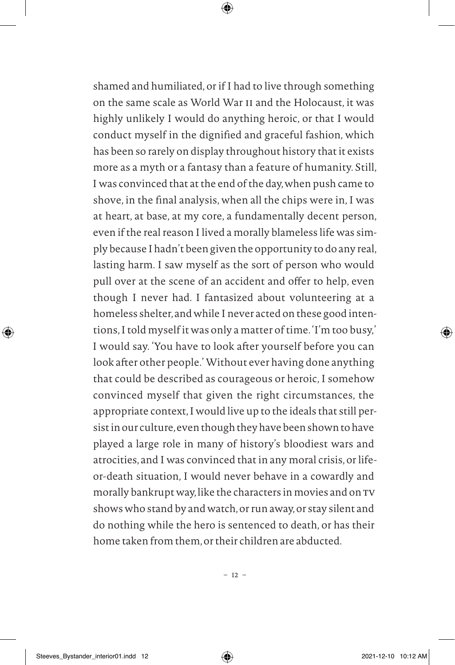shamed and humiliated, or if I had to live through something on the same scale as World War II and the Holocaust, it was highly unlikely I would do anything heroic, or that I would conduct myself in the dignifed and graceful fashion, which has been so rarely on display throughout history that it exists more as a myth or a fantasy than a feature of humanity. Still, I was convinced that at the end of the day, when push came to shove, in the fnal analysis, when all the chips were in, I was at heart, at base, at my core, a fundamentally decent person, even if the real reason I lived a morally blameless life was simply because I hadn't been given the opportunity to do any real, lasting harm. I saw myself as the sort of person who would pull over at the scene of an accident and offer to help, even though I never had. I fantasized about volunteering at a homeless shelter, and while I never acted on these good intentions, I told myself it was only a matter of time. 'I'm too busy,' I would say. 'You have to look after yourself before you can look after other people.' Without ever having done anything that could be described as courageous or heroic, I somehow convinced myself that given the right circumstances, the appropriate context, I would live up to the ideals that still persist in our culture, even though they have been shown to have played a large role in many of history's bloodiest wars and atrocities, and I was convinced that in any moral crisis, or lifeor-death situation, I would never behave in a cowardly and morally bankrupt way, like the characters in movies and on TV shows who stand by and watch, or run away, or stay silent and do nothing while the hero is sentenced to death, or has their home taken from them, or their children are abducted.

⊕

⊕